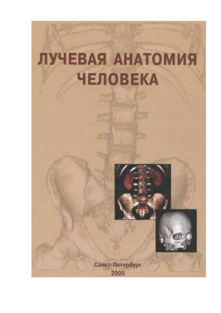# ЛУЧЕВАЯ АНАТОМИЯ **ЧЕЛОВЕКА**



Санкт-Петербург 2005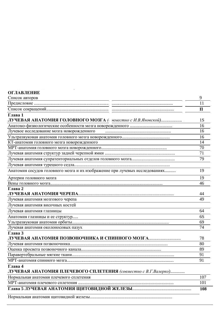**§ɂɡɞɚɬɟɥɶɫɤɢɣɞɨɦɋɉɛɆȺɉɈ'-++0ɝ)**

| Список авторов                                                              | 9 |     |
|-----------------------------------------------------------------------------|---|-----|
|                                                                             |   | 11  |
|                                                                             |   | П   |
| Глава 1                                                                     |   |     |
| ЛУЧЕВАЯ АНАТОМИЯ ГОЛОВНОГО МОЗГА ( ) еместно с И.В.Яновской)                |   | 1S  |
|                                                                             |   | 16  |
| Лучевое исследование мозга новорожденного                                   |   | 16  |
|                                                                             |   | 16  |
| КТ-анатомия головного мозга новорожденного                                  |   | 14  |
|                                                                             |   | 70  |
|                                                                             |   | 71  |
|                                                                             |   | 79  |
|                                                                             |   |     |
| Анатомия сосудов головного мозга и их изображение при лучевых исследованиях |   | 19  |
| Артерии головного мозга                                                     |   | 19  |
|                                                                             |   | 46  |
| Глава 2                                                                     |   |     |
|                                                                             |   | 44  |
| Лучевая анатомия мозгового черепа                                           |   | 49  |
| Лучевая анатомия височных костей                                            |   |     |
| Лучевая анатомия глазницы                                                   |   | 64  |
| Анатомия глазницы и ее структур                                             |   | 6S  |
|                                                                             |   | 69  |
| Лучевая анатомия околоносовых пазух                                         |   | 74  |
| Глава 3                                                                     |   |     |
| ЛУЧЕВАЯ АНАТОМИЯ ПОЗВОНОЧНИКА И СПИННОГО МОЗГА                              |   | 78  |
|                                                                             |   | 80  |
|                                                                             |   | 89  |
|                                                                             |   | 91  |
| МРТ-анатомия спинного мозга                                                 |   | 91  |
| Глава 4                                                                     |   |     |
| ЛУЧЕВАЯ АНАТОМИЯ ПЛЕЧЕВОГО СПЛЕТЕНИЯ (совместно с В.Г.Валерко)              |   |     |
| Нормальная анатомия плечевого сплетения                                     |   | 107 |
|                                                                             |   | 101 |
|                                                                             |   | 108 |

ɇɨɪɦɚɥɶɧɚɹɚɧɚɬɨɦɢɹɳɢɬɨɜɢɞɧɨɣɠɟɥɟɡɵ..........................................................................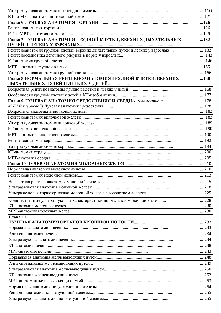|                                                                                | 110         |
|--------------------------------------------------------------------------------|-------------|
|                                                                                | 121         |
|                                                                                | 126         |
|                                                                                | 126         |
|                                                                                | 129         |
| Глава 7 ЛУЧЕВАЯ АНАТОМИЯ ГРУДНОЙ КЛЕТКИ, ВЕРХНИХ ДЫХАТЕЛЬНЫХ                   | 132         |
|                                                                                |             |
| Рентгеноанатомия грудной клетки, верхних дыхательных путей и легких у взрослых | $\dots 132$ |
| Рентгеносемиотика легочного рисунка в норме v взрослых                         | 143         |
| КТ-анатомия грудной клетки                                                     | 146         |
|                                                                                | 165         |
|                                                                                | 166         |
| Глава 8 НОРМАЛЬНАЯ РЕНТГЕНОАНАТОМИЯ ГРУДНОЙ КЛЕТКИ, ВЕРХНИХ                    | 168         |
|                                                                                |             |
|                                                                                | $\dots 168$ |
|                                                                                | $\dots 177$ |
| Глава 9 ЛУЧЕВАЯ АНАТОМИЯ СРЕДОСТЕНИЯ И СЕРДЦА (совместно с                     | $\dots 178$ |
| М.Е. Макагоновой) Лучевая анатомия средостения                                 | $\dots 178$ |
| Возрастная анатомия вилочковой железы                                          | $\dots 182$ |
|                                                                                | 183         |
| Ультразвуковая анатомия вилочковой железы                                      | $\dots 189$ |
|                                                                                | 190         |
|                                                                                | 190         |
|                                                                                | $\dots 192$ |
|                                                                                | $\dots$ 194 |
|                                                                                | $\dots 200$ |
|                                                                                | $\dots 205$ |
|                                                                                | 210         |
| Нормальная анатомия молочной железы                                            | 210         |
|                                                                                | $\dots 213$ |
|                                                                                | $\dots 215$ |
|                                                                                | $\dots 218$ |
| Ультразвуковая характеристика молочной железы в возрастном аспекте             | $\dots 225$ |
| Количественные ультразвуковые характеристики нормальной молочной железы        | $\dots 228$ |
|                                                                                | $\dots$ 230 |
| МРТ-анатомия молочных желез                                                    | $\dots 230$ |
| Глава 11                                                                       |             |
| ЛУЧЕВАЯ АНАТОМИЯ ОРГАНОВ БРЮШНОЙ ПОЛОСТИ                                       | 233         |
|                                                                                | 233         |
|                                                                                | $\dots$ 234 |
|                                                                                | $\dots$ 234 |
|                                                                                | 238         |
|                                                                                | $\dots$ 243 |
|                                                                                |             |
|                                                                                | 248         |
| Рентгеноанатомия желчевыводящих путей                                          | $\dots$ 249 |
|                                                                                | $\dots 250$ |
| КТ-анатомия желчевыводящих путей                                               | $\dots 252$ |
|                                                                                | $\dots 253$ |
|                                                                                | $\dots$ 254 |
|                                                                                | $\dots 255$ |
|                                                                                | $\dots 255$ |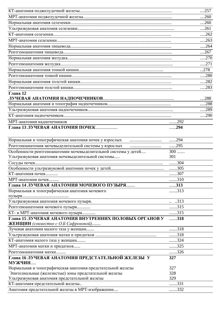|                                                                |       | $\dots 257$             |
|----------------------------------------------------------------|-------|-------------------------|
|                                                                |       | $\dots$ 260             |
|                                                                |       | $\dots$ 260             |
|                                                                |       | $\dots 261$             |
|                                                                |       | 262                     |
|                                                                |       | 263                     |
|                                                                |       | 264                     |
|                                                                |       | $\dots 267$             |
|                                                                |       | 270                     |
|                                                                |       | $\overline{\ldots 271}$ |
|                                                                |       | 278                     |
|                                                                |       |                         |
|                                                                |       | 280                     |
|                                                                |       | 282                     |
|                                                                |       | 283                     |
| Глава 12                                                       |       |                         |
|                                                                |       | $\dots 288$             |
|                                                                |       | 288                     |
|                                                                |       | 289                     |
|                                                                |       | 290                     |
| МРТ-анатомия надпочечников                                     | 292   |                         |
| Глава 13 ЛУЧЕВАЯ АНАТОМИЯ ПОЧЕК                                | 294   |                         |
|                                                                |       |                         |
| Нормальная и топографическая анатомия почек у взрослых         | 294   |                         |
| Рентгеноанатомия мочевыделительной системы у взрослых          | 295   |                         |
| Особенности рентгеноанатомии мочевыделительной системы у детей | $300$ |                         |
| Ультразвуковая анатомия мочевыделительной системы              | 301   |                         |
|                                                                | 304   |                         |
|                                                                | 305   |                         |
| КТ-анатомия почек                                              | 307   |                         |
| МРТ-анатомия почек                                             | 310   |                         |
| Глава 14 ЛУЧЕВАЯ АНАТОМИЯ МОЧЕВОГО ПУЗЫРЯ                      | 313   |                         |
| Нормальная и топографическая анатомия мочевого                 | 313   |                         |
|                                                                |       |                         |
| Ультразвуковая анатомия мочевого пузыря.                       | 313   |                         |
| Рентгеноанатомия мочевого пузыря                               | 315   |                         |
| КТ- и МРТ-анатомия мочевого пузыря                             | 315   |                         |
| Глава 15 ЛУЧЕВАЯ АНАТОМИЯ ВНУТРЕННИХ ПОЛОВЫХ ОРГАНОВ У         | 318   |                         |
| ЖЕНЩИН (совместно с О.Б Сафроновой)                            |       |                         |
| Лучевая анатомия малого таза у женщин                          | 318   |                         |
|                                                                | 318   |                         |
| КТ-анатомия малого таза у женщин                               | 324   |                         |
| МРТ-анатомия матки и придатков                                 | 325   |                         |
| Рентгеноанатомия матки                                         | 326   |                         |
| Глава 16 ЛУЧЕВАЯ АНАТОМИЯ ПРЕДСТАТЕЛЬНОЙ ЖЕЛЕЗЫ У              | 327   |                         |
| МУЖЧИН                                                         |       |                         |
| Нормальная и топографическая анатомия предстательной железы    | 327   |                         |
| Эпителиальные (железистые) зоны предстательной железы          | 328   |                         |
| Ультразвуковая анатомия предстательной железы                  | 329   |                         |
| КТ-анатомия предстательной железы                              | 331   |                         |
| Анатомия предстательной железы в МРТ-изображении               | 332   |                         |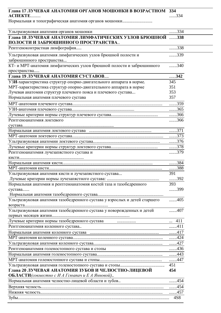#### **Глава 17 ЛУЧЕВАЯ АНАТОМИЯ ОРГАНОВ МОШОНКИ В ВОЗРАСТНОМ 334 АСПЕКТЕ..........** ......334

\_<br>Ультразвуковая анатомия органов мошонки ........334

Нормальная и топографическая анатомия органов мошонки............................

Глава 18 ЛУЧЕВАЯ АНАТОМИЯ ЛИМФАТИЧЕСКИХ УЗЛОВ БРЮШНОЙ .......338 ПОЛОСТИ И ЗАБРЮШИННОГО ПРОСТРАНСТВА.. Рентгеноконтрастная лимфография..... Ультразвуковая анатомия лимфатических узлов брюшной полости и забрюшинного пространства... .......339 КТ- и МРТ-анатомия лимфатических узлов брюшной полости и забрюшинного пространства..... .......340 **Ƚɥɚɜɚ,4ɅɍɑȿȼȺəȺɇȺɌɈɆɂəɋɍɋɌȺȼɈȼ**.... ......**./-** УЗИ-характеристика структур опорно-двигательного аппарата в норме. МРТ-характеристика структур опорно-двигательного аппарата в норме Лучевая анатомия структур плечевого пояса и плечевого сустава... Нормальная анатомия плечевого сустава 345 351 353 357 ɆɊɌɚɧɚɬɨɦɢɹɩɥɟɱɟɜɨɝɨɫɭɫɬɚɜɚ................................................................................. .......359 ɍɁɂɚɧɚɬɨɦɢɹɩɥɟɱɟɜɨɝɨɫɭɫɬɚɜɚ........................................................ .......365 Ʌɭɱɟɜɵɟɤɪɢɬɟɪɢɢɧɨɪɦɵɫɬɪɭɤɬɭɪɩɥɟɱɟɜɨɝɨɫɭɫɬɚɜɚ.......................................... .......366 Рентгеноанатомия локтевого ɫɭɫɬɚɜɚ.................................................................................. .......366 ɇɨɪɦɚɥɶɧɚɹɚɧɚɬɨɦɢɹɥɨɤɬɟɜɨɝɨɫɭɫɬɚɜɚ ........................................................ .......371 ɆɊɌɚɧɚɬɨɦɢɹɥɨɤɬɟɜɨɝɨɫɭɫɬɚɜɚ.................................................................................. .......373 ɍɥɶɬɪɚɡɜɭɤɨɜɚɹɚɧɚɬɨɦɢɢɥɨɤɬɟɜɨɝɨɫɭɫɬɚɜɚ............................................................ .......376 Ʌɭɱɟɜɵɟɤɪɢɬɟɪɢɢɧɨɪɦɵɫɬɪɭɤɬɭɪɥɨɤɬɟɜɨɝɨɫɭɫɬɚɜɚ.......................................... .......378 Рентгеноанатомия лучезапястного сустава и ɤɢɫɬɢ.......................................................... .......379 ɇɨɪɦɚɥɶɧɚɹɚɧɚɬɨɦɢɹɤɢɫɬɢ................................................................................. .......384 ɆɊɌɚɧɚɬɨɦɢɹɤɢɫɬɢ...................................................................................................... .......388 Ультразвуковая анатомия кисти и лучезапястного сустава... Ʌɭɱɟɜɵɟɤɪɢɬɟɪɢɢɧɨɪɦɵɥɭɱɟɡɚɩɹɫɬɧɨɝɨɫɭɫɬɚɜɚ: ............................................... 391 .......392 Нормальная анатомия и рентгеноанатомия костей таза и тазобедренного cvcraba...... ɇɨɪɦɚɥɶɧɚɹɚɧɚɬɨɦɢɹɬɚɡɨɛɟɞɪɟɧɧɨɝɨɫɭɫɬɚɜɚ........................................................... 393 .......399 Ультразвуковая анатомия тазобедренного сустава у взрослых и детей старшего ɜɨɡɪɚɫɬɚ........................................................................... .......405 Ультразвуковая анатомия тазобедренного сустава у новорожденных и детей ɩɟɪɜɵɯɦɟɫɹɰɟɜɠɢɡɧɢ...................................................................... .......407 Ʌɭɱɟɜɵɟɤɪɢɬɟɪɢɢɧɨɪɦɵɬɚɡɨɛɟɞɪɟɧɧɨɝɨɫɭɫɬɚɜɚ ................. ... 411 Рентгеноанатомия коленного сустава.. Советство и полной пользовании с полной пользовании с пользовании с польз ɇɨɪɦɚɥɶɧɚɹɚɧɚɬɨɦɢɹɤɨɥɟɧɧɨɝɨɫɭɫɬɚɜɚ .............................................................. .......417 ɆɊɌɚɧɚɬɨɦɢɹɤɨɥɟɧɧɨɝɨɫɭɫɬɚɜɚ................................................................................. .......424 ɍɥɶɬɪɚɡɜɭɤɨɜɚɹɚɧɚɬɨɦɢɹɤɨɥɟɧɧɨɝɨɫɭɫɬɚɜɚ.............................................................. .......427 Рентгеноанатомия голеностопного сустава и стопы ɇɨɪɦɚɥɶɧɚɹɚɧɚɬɨɦɢɹɝɨɥɟɧɨɫɬɨɩɧɨɝɨɫɭɫɬɚɜɚ........................................................... .......443 ɆɊɌɚɧɚɬɨɦɢɹɝɨɥɟɧɨɫɬɨɩɧɨɝɨɫɭɫɬɚɜɚɢɫɬɨɩɵ........................................................ .......447 ɍɥɶɬɪɚɡɜɭɤɨɜɚɹɚɧɚɬɨɦɢɹɝɨɥɟɧɨɫɬɨɩɧɨɝɨɫɭɫɬɚɜɚɢɫɬɨɩɵ........................................ Глава 20 ЛУЧЕВАЯ АНАТОМИЯ ЗУБОВ И ЧЕЛЮСТНО-ЛИЦЕВОЙ ОБЛАСТИ (совместно с И А Гсюапач и Е А Янновой).. 451 **454** Нормальная анатомия челюстно-лицевой области и зубов.. ........ 454 ȼɟɪɯɧɹɹɱɟɥɸɫɬɶ.............................................................................................................. .......454 ɇɢɠɧɹɹɱɟɥɸɫɬɶ.............................................................................................................. .......457 Ɂɭɛɵ........................................................................................................................................ 4S8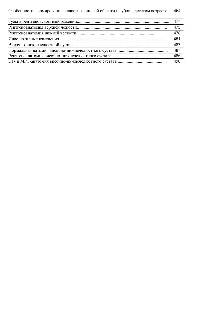Особенности формирования челюстно-лицевой области и зубов в детском возрасте.. 464

| 47? |
|-----|
| 475 |
| 478 |
| 481 |
| 48? |
| 48? |
| 486 |
| 490 |
|     |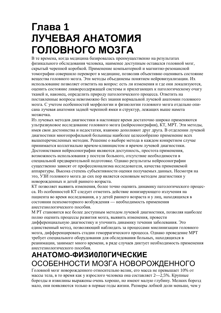## **Глава 1** ЛУЧЕВАЯ АНАТОМИЯ ГОЛОВНОГО МОЗГА

В те времена, когда медицина базировалась преимущественно на результатах физикального обслелования человека, наименее лоступным оставался головной мозг. скрытый черепной коробкой. Применение компьютерной и магнитно-резонансной томографии совершило переворот в медицине, позволив объективно оценивать состояние вещества головного мозга. Эти методы объединены понятием нейровизуализации. Их использование позволяет ответить на вопрос: есть ли изменения и гле они локализуются. оценить состояние ликворсодержащей системы и прилегающих к патологическому очагу тканей и, наконец, определить природу патологического процесса. Ответить на поставленные вопросы невозможно без знания нормальной лучевой анатомии головного мозга. С учетом особенностей морфологии и физиологии головного мозга отдельно описана лучевая анатомия задней черепной ямки и структур, лежащих выше намета мозжечка.

Из лучевых методов диагностики в настоящее время достаточно широко применяются vльтразвуковое исслелование головного мозга (нейросонография), КТ, МРТ. Эти метолы, имея свои достоинства и недостатки, взаимно дополняют друг друга. В отделении лучевой диагностики многопрофильной больницы наиболее целесообразно применение всех вышеперечисленных методик. Решение о выборе метода в каждом конкретном случае принимается коллегиально врачом-клиницистом и врачом лучевой диагностики. Достоинствами нейросонографии являются доступность, простота применения, возможность использования у постели больного, отсутствие необходимости в специальной предварительной подготовке. Однако результаты нейросонографии существенно зависят от профессионализма исследователя, качества применяемой аппаратуры. Высока степень субъективности оценки получаемых данных. Несмотря на это, УЗИ головного мозга до сих пор является основным методом диагностики у новорожденных и детей раннего возраста.

КТ позволяет выявить изменения, более точно оценить динамику патологического процесса. Из особенностей КТ следует отметить действие ионизирующего излучения на пациента во время исследования, а у детей раннего возраста и у лиц, находящихся в состоянии психомоторного возбуждения — необходимость применения анестезиологического пособия.

М РТ становится все более доступным методом лучевой диагностики, позволяя наиболее полно оценить процессы развития мозга, выявить изменения, провести дифференциальную диагностику и уточнить динамику течения заболевания. Это единственный метод, позволяющий наблюдать за процессами миелинизации головного мозга, дифференцировать стадии геморрагического процесса. Однако проведение МРТ требует специального оборудования для обследования больных, находящихся в реанимации, занимает много времени, в ряде случаев диктует необходимость применения анестезиологического пособия.

### $\blacksquare$ АНАТОМО-ФИЗИ0Л0ГИЧЕСКИЕ ОСОБЕННОСТИ МОЗГА НОВОРОЖДЕННОГО

Головной мозг новорожденного относительно велик, его масса не превышает 10% от массы тела, в то время как у взрослого человека она составляет 2—2,5%. Крупные борозды и извилины выражены очень хорошо, но имеют малую глубину. Мелких борозд мало, они появляются только в первые годы жизни. Размеры лобной доли меньше, чем у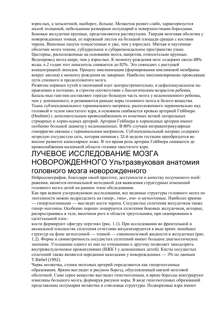взрослых, а затылочной, наоборот, больше. Мозжечок развит слабо, характеризуется малой толщиной, небольшими размерами полушарий и поверхностными бороздами. Боковые желудочки крупные, представляются растянутыми. Твердая мозговая оболочка у новорожденных тонкая, ее наружный листок на большой плошали срашен с костями черепа. Венозные пазухи тонкостенные и уже, чем у взрослых. Мягкая и паутинная оболочки мозга тонкие, субдуральное и субарахноидальное пространство узкие. Цистерны, расположенные на основании мозга, напротив, относительно крупные. Водопровод мозга шире, чем у взрослых. К моменту рождения мозг содержит около 88% воды, к 2 годам этот показатель снижается до 82%. Это совпадает с растущей концентрацией липидов. Процесс миелинизации (формирования миелиновой мембраны вокруг аксона) к моменту рождения не завершен. Наиболее миелинизированы проводящие пути спинного и продолговатого мозга.

Развитие нервных путей и окончаний идет центростремительно, в цефалокаудальном направлении и поэтапно, в строгом соответствии с биологическим возрастом ребенка. Базаль-ные ганглии составляют гораздо большую часть мозга у недоношенного ребенка, чем у доношенного, и развиваются раньше коры головного мозга и белого вещества. Ткань субэпендимального терминального матрикса, расположенного первоначально над головкой и телом хвостатого ядра, в основном снабжается кровью артерией Гейбнера (Heubner) с лополнительным кровоснабжением из конечных ветвей латеральных стриарных и хорио-идных артерий. Артерия Гейбнера и хориоидные артерии имеют особенно большой диаметр у недоношенных. В 80% случаев интравентрикулярные геморрагии связаны с терминальным матриксом. Субэпендимальный матрикс содержит незрелую сосулистую сеть, которая начиная с 32-й нелели гестании преобразуется во вполне развитое капиллярное ложе. В это время роль артерии Гейбнера снижается ло кровоснабжения маленькой области головки хвостатого ядра.

#### ЛУЧЕВОЕ ИССЛЕДОВАНИЕ МОЗГА НОВОРОЖДЕННОГО Ультразвуковая анатомия головного мозга новорожденного

Нейросонография, благодаря своей простоте, доступности и качеству получаемого изображения, является оптимальной методикой для выявления структурных изменений головного мозга детей на раннем этапе обследования.

Как при всяком ультразвуковом исследовании, все видимые структуры головного мозга по эхогенности можно подразделить на гипер-, гипо-, изо- и анэхогенные. Наиболее яркими — гиперэхогенными — выглялят кости черепа. Сосулистые сплетения желулочков также гипер-эхогенны. Особенно хорошо лоцируются сплетения боковых желудочков, которые, распространяясь в теле, височном роге и области треугольника, при сканировании в сагиттальной плос-

кости формируют «фигуру перстня» (рис. 1.1). При исследовании во фронтальной и аксиальной плоскостях сплетения отчетливо визуализируются в виде ярких линейных структур на фоне анэхогенной — темной — спинномозговой жидкости в желудочках (рис. 1.2). Форма и симметричность сосудистых сплетений имеют большое диагностическое значение. Утолщение одного из них по отношению к другому позволяет заподозрить внутрижелудочковое кровоизлияние (ВЖК I у доношенных детей). Кисты сосудистых сплетений также являются нерелкими нахолками у новорожленных — 3% по ланным T.Riebel (1992).

Червь мозжечка, стенки мозговых артерий определяются как гиперэхогенные образования. Ярким выглядит и рисунок борозд, обусловленный мягкой мозговой оболочкой. Само серое вещество выглядит гипоэхогенным, и яркие борозды контурируют извилины большого мозга, формируя рисунок коры. В виде гипоэхогенных образований представлены полушария мозжечка и стволовые структуры. Подкорковые ядра имеют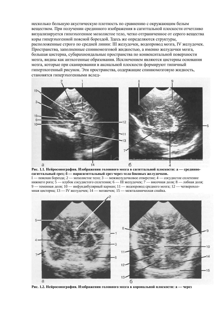несколько большую акустическую плотность по сравнению с окружающим белым веществом. При получении срединного изображения в сагиттальной плоскости отчетливо визуализируется гипоэхогенное мозолистое тело, четко отграниченное от серого вещества коры гиперэхогенной поясной бороздой. Здесь же определяются структуры. расположенные строго по средней линии: III желудочек, водопровод мозга, IV желудочек. Пространства, заполненные спинномозговой жидкостью, а именно желудочки мозга, большая цистерна, субарахноидальные пространства по конвекситальной поверхности мозга, видны как анэхогенные образования. Исключением являются цистерны основания мозга, которые при сканировании в аксиальной плоскости формируют типичный гиперэхогенный рисунок. Эти пространства, содержащие спинномозговую жидкость, становятся гиперэхогенными вслед-



Рис. 1.1. Нейросонография. Изображения головного мозга в сагиттальной плоскости: а — срединносагиттальный срез; б — парасагиттальный срез через тела боковых желудочков. I — поясная борозда; 2 — мозолистое тело; 3 — межжелудочковое отверстие; 4 — сосудистое сплетение нижнего рога; 5 — клубок сосудистого сплетения; 6 — III желудочек; 7 — височная доля; 8 — лобная доля; 9 — теменная доля; 10 — инфундибулярный карман; 11 — водопровод среднего мозга; 12 — четверохолмная цистерна; 13 — IV желудочек; 14 — мозжечок; 15 — межталамическая спайка.



Рис. 1.2. Нейросонография. Изображения головного мозга в корональной плоскости: а — через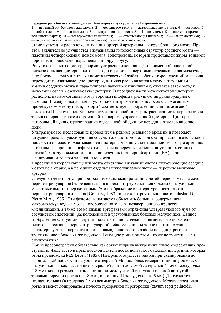#### передние рога боковых желудочков; б - через структуры задней черепной ямки.

1 — передний рог бокового желудочка; 2 — мозолистое тело; 3 — латеральная щель мозга; 4 — островок; 5 — лобная доля; 6 — височная доля; 7 — чешуя височной кости; 8 — III желудочек; 9 — цистерна промежуточного паруса; 10 — четверохолмная цистерна; 11 — охватывающая цистерна; 12 — намет мозжечка; 13 — червь мозжечка; 14 — полушария мозжечка; 15 — затылочная кость.

ствие пульсации расположенных в них артерий артериальный круг большого мозга. При этом значительно улучшается визуализация гипоэхогенных структур среднего мозга пластины четверохолмия, ножек мозга, водопровода, который представлен двумя тонкими короткими полосками, параллельными друг другу.

Рисунок базальных цистерн формирует расположенная нал олноименной пластиной четверохолмная цистерна, которая сзади ограничена верхними отделами червя мозжечка, а по бокам — краями вырезки намета мозжечка. Огибая с обеих сторон средний мозг, она переходит в охватывающую цистерну, которая располагается между латеральными краями среднего мозга и пара-гиппокампальными извилинами, сливаясь затем между ножками мозга в межножковую цистерну. В передней части межножковой цистерны расположена изоэхогенная мозгу воронка гипофиза с рисунком инфундибулярного кармана III желудочка в виде двух тонких гиперэхогенных полосок с анэхогенным промежутком между ними, который соответствует изображению спинномозговой жидкости III желудочка. Кпереди от межножковой цистерны располагается перекрест зрительных нервов, также окруженный ликвором супраселлярной пистерны. Пистерна латеральной щели отделяет задние отделы лобной доли от передних отделов височной доли.

Ультразвуковое исследование проводится в режиме реального времени и позволяет визуализировать пульсирующие сосуды головного мозга. При сканировании в аксиальной плоскости в области охватывающей цистерны можно увидеть заднюю мозговую артерию, латеральнее воронки гипофиза отмечаются поперечные сечения внутренних сонных артерий, между ножками мозга — поперечник базилярной артерии (БА). При сканировании во фронтальной плоскости

в проекции латеральных щелей мозга отчетливо визуализируются пульсирующие средние мозговые артерии, а в передних отделах межполушарной щели — передние мозговые apтepии.

Слелует отметить, что при чрезролничковом сканировании у летей первого месяца жизни перивентрикулярное белое вещество в проекции треугольников боковых желудочков может выглядеть гиперэхогенным. Это изображение в литературе носит название перивентрикулярного «halo» [Grant E., 1983], или околотреугольникового «blush» [Di Pietro M.A., 1986]. Эти феномены пытаются объяснить большим содержанием макромолекул воды в мозге новорожденного из-за незавершенного процесса миелинизации, а также возможными артефактами отражения ультразвукового луча от сосудистых сплетений, расположенных в треугольниках боковых желудочков. Данное изображение следует дифференцировать от гипоксически-ишемического поражения белого вещества — перивентрикулярной лейкомаляции, которое на раннем этапе характеризуется гиперэхогенными зонами, чаще всего в районе передних рогов и треугольников боковых желудочков. Ведущую роль при этом играет неврологическая симптоматика.

При нейросонографии обязательно измеряют ширину внутренних ликворсодержащих пространств. Чаще всего в практической деятельности пользуются схемой измерений, которая была предложена M.S.Leven (1985). Измерения осуществляются при сканировании во фронтальной плоскости на уровне отверстий Монро. Здесь измеряют ширину боковых желудочков — как расстояние от средней линии до самой латеральной точки желудочка (13 мм), косой размер — как дистанцию между самой выпуклой и самой вогнутой точками передних рогов (2—3 мм), и ширину III желудочка (до 5 мм). Допускается незначительная (в пределах 2 мм) асимметрия боковых желудочков. Между передними рогами может лоцироваться полость прозрачной перегородки (cavum septi pellucidi),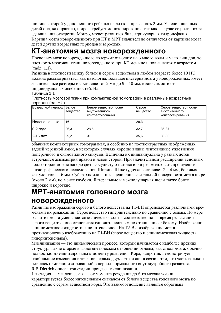ширина которой у доношенного ребенка не должна превышать 2 мм. У недоношенных детей она, как правило, шире и требует мониторирования, так как в случае ее роста, из-за сдавливания отверстий Монро, может развиться бивентрикулярная гидроцефалия. Картина мозга новорожденного при КТ и МРТ значительно отличается от картины мозга детей других возрастных периодов и взрослых.

#### КТ-анатомия мозга новорожденного

Поскольку мозг новорожденного содержит относительно много воды и мало липидов, то плотность мозговой ткани новорожденного при КТ меньше и повышается с возрастом  $(\text{табл. } 1.1).$ 

Разница в плотности между белым и серым веществом в любом возрасте более 10 HU должна рассматриваться как патология. Большая цистерна мозга у новорожденных имеет значительные размеры и составляет от 2 мм до 9—10 мм, в зависимости от инливилуальных особенностей. На

Таблица 1.1

Плотность мозговой ткани при компьютерной томографии в различные возрастные периоды (ед. HU)

| Возрастной период | Белое    | Белое вещество после | Cepoe    | Серое вещество после |
|-------------------|----------|----------------------|----------|----------------------|
|                   | вещество | <b>ВНУТРИВЕННОГО</b> | вещество | <b>ВНУТРИВЕННОГО</b> |
|                   |          | контрастирования     |          | контрастирования     |
|                   |          |                      |          |                      |
| Недоношенные      | 16       |                      | 28,3     |                      |
| 0-2 года          | 26,3     | 28,5                 | 32,7     | 36-37                |
|                   |          |                      |          |                      |
| 12-15 лет         | 29,2     | 31                   | 35,6     | 38-39                |
|                   |          |                      |          |                      |
|                   |          |                      |          |                      |

обычных компьютерных томограммах, а особенно на постконтрастных изображениях залней черепной ямки, в некоторых случаях хорошо вилны лентовилные уплотнения поперечного и сигмовидного синусов. Величина их индивидуальна у разных детей, встречается асимметрия правой и левой сторон. При значительном расширении венозных коллекторов можно заподозрить сосудистую патологию и рекомендовать проведение ангиографического исследования. Ширина III желудочка составляет 2—4 мм, боковых желудочков — 6 мм. Субарахноидаль-ные щели конвекситальной поверхности мозга шире (около 2 мм), но менее глубоки. Латеральные и межполушарная щели также более широкие и короткие.

#### МРТ-анатомия головного мозга **НОВОРОЖДЕННОГО**

Различие изображений серого и белого вещества на Т1-ВИ определяется различными временами их релаксации. Серое вещество гиперинтенсивно по сравнению с белым. По мере развития мозга уменьшается количество воды и соответственно — время релаксации серого вещества, оно становится гипоинтенсивным по отношению к белому. Изображение спинномозговой жидкости гипоинтенсивное. На Т2-ВИ изображение мозга противоположно изображению на Т1-ВИ (серое вещество и спинномозговая жидкость гиперинтенсивны).

Миелинизация — это динамический процесс, который начинается с наиболее древних структур. Такие старые в филогенетическом отношении отделы, как ствол мозга, обычно полностью миелинизированы к моменту рождения. Кора, напротив, демонстрирует наибольшие изменения в течение первых двух лет жизни, в связи с тем, что часть волокон осталась немиелинизи-рованной в периол нормального внутриутробного развития. R.B.Dietrich описал три стадии процесса миелинизации.

1-я стадия — младенческая — от момента рождения до 6-го месяца жизни, характеризуется более интенсивным сигналом от белого вещества головного мозга по сравнению с серым веществом коры. Это взаимоотношение является обратным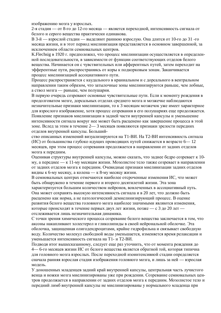изображению мозга у взрослых.

2-я стадия — от 8-го до 12-го месяца — является переходной, интенсивность сигнала от белого и серого вещества практически одинакова.

В 3-й — взрослой сталии — вылеляют раннюю взрослую. Она длится от 10-го до 31 -го месяца жизни, и в этот период миелинизация представляется в основном завершенной, за исключением области семиовальных центров.

K.Flechsig в 1920 г. предположил, что процесс миелинизации осуществляется в определенной последовательности, в зависимости от функции соответствующих отделов белого вещества. Начинается он с чувствительных или афферентных путей, затем переходит на эфферентные пути, распространяясь от коры к подкорковым зонам. Заканчивается процесс миелинизацией ассоциативного пути.

Процесс распространяется с каулального в краниальном и с лорсального в вентральном направлении таким образом, что затылочные зоны миелинизируются раньше, чем лобные, а ствол мозга — раньше, чем полушария.

В первую очередь созревают основные чувствительные пути. Если к моменту рождения в продолговатом мозге, дорсальных отделах среднего мозга и мозжечке наблюдаются незначительные признаки миелинизации, то к 3 месяцам мозжечок уже имеет характерное для взрослого изображение, хотя процесс созревания в его полушариях еще продолжается. Появление признаков миелинизации в залней части внутренней капсулы и уменьшение интенсивности сигнала вокруг нее может быть расценено как завершение процесса в этой зоне. Вслед за этим в течение 2— 3 месяцев появляются признаки зрелости передних отделов внутренней капсулы. Больший-

ство описанных изменений визуализируются на Т1-ВИ. На Т2-ВИ интенсивность сигнала (ИС) от большинства глубоко илуших проволяших путей снижается в возрасте  $6-12$ месяцев, при этом процесс созревания продолжается в направлении от задних отделов мозга к передним.

Оценивая структуры внутренней капсулы, можно сказать, что заднее бедро созревает к 10му, а переднее — к 11-му месяцам жизни. Мозолистое тело также созревает в направлении от задних отделов мозга к передним. Очевидные признаки миелинизации задних отделов видны к 6-му месяцу, а колена — к 8-му месяцу жизни.

В семиовальных центрах отмечаются наиболее отсроченные изменения ИС, что может быть обнаружено в течение первого и второго десятилетий жизни. Эта зона

характеризуется большим количеством нейронов, вовлеченных в ассоциативный путь. Она может сохранять высокую интенсивность сигнала и в 20 лет, что должно быть распенено как норма, а не патологический лемиелинизирующий пропесс. В опенке развития белого вешества головного мозга наиболее значимыми являются изменения. которые происходят в течение первых двух лет жизни, позже — с 3 до 20 лет отслеживается лишь незначительная динамика.

С точки зрения химического процесса созревание белого вещества заключается в том, что аксоны накапливают холестерол и гликолипиды в своей нейрональной оболочке. Эта оболочка, защищенная олигодендроцитами, крайне гидрофильна и связывает свободную воду. Количество молекул свободной воды уменьшается, изменяется время релаксации и уменьшается интенсивность сигнала на Т1- и Т2-ВИ.

Подводя итог вышесказанному, следует еще раз уточнить, что от момента рождения до 4— 6-го месяцев жизни ИС от белого вещества является обратной той, которая типична для головного мозга взрослых. После переходной изоинтенсивной сталии определяется сначала ранняя взрослая стадия изображения головного мозга, и лишь за ней — взрослая модель.

У доношенных младенцев задний край внутренней капсулы, центральная часть лучистого венца и ножки мозга миелинизированы уже при рождении. Созревание семиовальных центров продолжается в направлении от задних отделов мозга к передним. Мозолистое тело и передний лимб внутренней капсулы не миелинизированы у нормального младенца при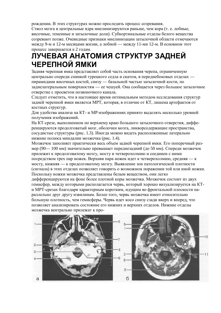рождении. В этих структурах можно проследить процесс созревания. Ствол мозга и центральные ядра миелинизируются раньше, чем кора (т. е. лобные, височные, теменные и затылочные доли). Субкортикальные отделы белого вещества созревают позже. Очевидные признаки миелинизации затылочной области отмечаются между 9-м и 12-м месяцами жизни, а лобной — между 11-ми 12-м. В основном этот процесс завершается к 2 годам.

## **ЛУЧЕВАЯ АНАТОМИЯ СТРУКТУР ЗАДНЕЙ** ЧЕРЕПНОЙ ЯМКИ

Задняя черепная ямка представляет собой часть основания черепа, ограниченную центрально спереди спинкой турецкого седла и скатом, в переднебоковых отделах пирамидами височных костей, снизу — базальной частью затылочной кости, по заднелатеральным поверхностям — ее чешуей. Она сообщается через большое затылочное отверстие с просветом позвоночного канала.

Следует отметить, что в настоящее время оптимальным методом исследования структур залней черепной ямки является MPT, которая, в отличие от КТ, лишена артефактов от костных структур.

Для удобства анализа на КТ- и МР-изображениях принято выделять несколько уровней получения изображений.

На КТ-срезе, выполненном по верхнему краю большого затылочного отверстия, дифференцируются продолговатый мозг, оболочки мозга, ликворсодержащие пространства, сосудистые структуры (рис. 1.3). Иногда можно видеть расположенные латерально нижние полюса миндалин мозжечка (рис. 1.4).

Мозжечок заполняет практически весь объем задней черепной ямки. Его поперечный размер (90— 100 мм) значительно превышает переднезадний (до 50 мм). Спереди мозжечок прилежит к продолговатому мозгу, мосту и четверохолмию и соединен с ними посредством трех пар ножек. Верхняя пара ножек идет к четверохолмию, средняя — к мосту, нижняя — к продолговатому мозгу. Выявление зон патологической плотности (сигнала) в этих отделах позволяет говорить о возможном поражении той или иной ножки. Поскольку ножки мозжечка представлены белым веществом, они легко

дифференцируются на фоне более плотной коры мозжечка. Мозжечок состоит из двух гемисфер, между которыми располагается червь, который хорошо визуализируется на КТи МРТ-срезах благодаря характерным коротким, идущим во фронтальной плоскости параллельно друг другу извилинам. Более того, червь мозжечка имеет относительно большую плотность, чем гемисферы. Червь идет косо снизу сзади вверх и вперед, что позволяет анализировать состояние его нижних и верхних отделов. Нижние отделы мозжечка вентрально прилежат к про-

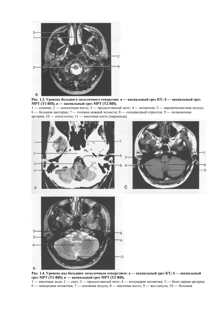



1 — сошник; 2 — затылочная кость; 3 — продолговатый мозг; 4 — мозжечок; 5 — верхнечелюстная пазуха; 6 — большая цистерна; 7 — головка нижней челюсти; 8 — сосцевидный отросток; 9 — позвоночная артерия; 10 — носоглотка; 11 — височная кость (пирамида).



Рис. 1.4. Уровень над большим затылочным отверстием: а — аксиальный срез КТ; б — аксиальный **срез МРТ** (Т1-ВИ); в — аксиальный срез МРТ (Т2-ВИ). 1 — височная доля; 2 — скат; 3 — продолговатый мозг; 4 — полушарие мозжечка; 5 — бази-лярная артерия;

6 — миндалина мозжечка; 7 — основная пазуха; 8 — височная кость; 9 — вал-лекула; 10 — большая